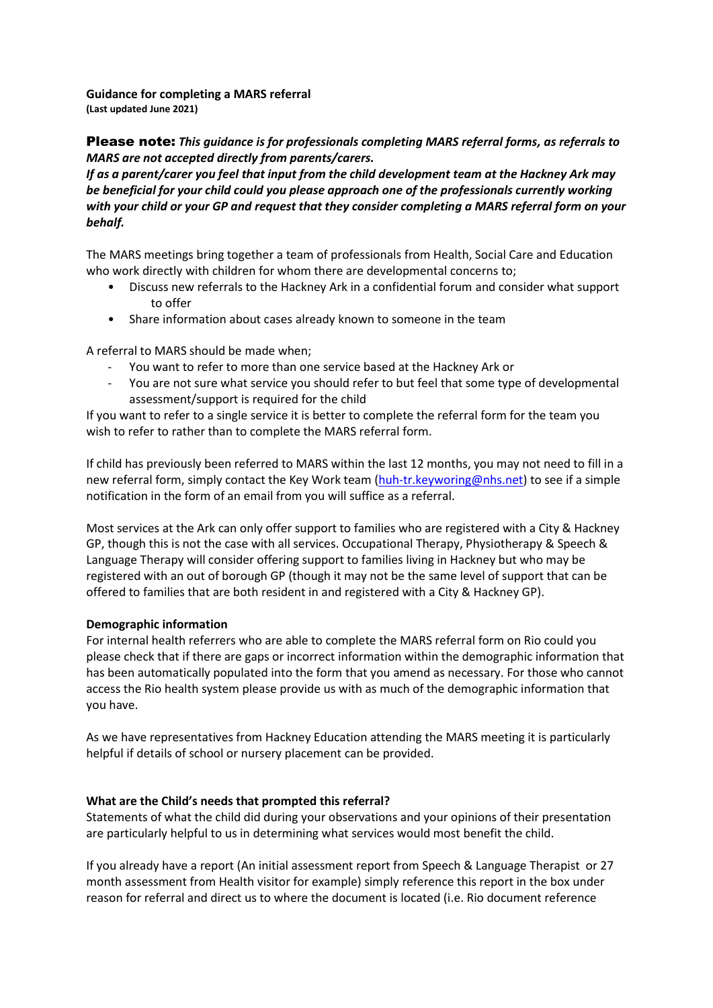## **Guidance for completing a MARS referral (Last updated June 2021)**

# Please note: *This guidance is for professionals completing MARS referral forms, as referrals to MARS are not accepted directly from parents/carers.*

*If as a parent/carer you feel that input from the child development team at the Hackney Ark may be beneficial for your child could you please approach one of the professionals currently working with your child or your GP and request that they consider completing a MARS referral form on your behalf.*

The MARS meetings bring together a team of professionals from Health, Social Care and Education who work directly with children for whom there are developmental concerns to;

- Discuss new referrals to the Hackney Ark in a confidential forum and consider what support to offer
- Share information about cases already known to someone in the team

A referral to MARS should be made when;

- You want to refer to more than one service based at the Hackney Ark or
- You are not sure what service you should refer to but feel that some type of developmental assessment/support is required for the child

If you want to refer to a single service it is better to complete the referral form for the team you wish to refer to rather than to complete the MARS referral form.

If child has previously been referred to MARS within the last 12 months, you may not need to fill in a new referral form, simply contact the Key Work team [\(huh-tr.keyworing@nhs.net\)](mailto:huh-tr.keyworing@nhs.net) to see if a simple notification in the form of an email from you will suffice as a referral.

Most services at the Ark can only offer support to families who are registered with a City & Hackney GP, though this is not the case with all services. Occupational Therapy, Physiotherapy & Speech & Language Therapy will consider offering support to families living in Hackney but who may be registered with an out of borough GP (though it may not be the same level of support that can be offered to families that are both resident in and registered with a City & Hackney GP).

## **Demographic information**

For internal health referrers who are able to complete the MARS referral form on Rio could you please check that if there are gaps or incorrect information within the demographic information that has been automatically populated into the form that you amend as necessary. For those who cannot access the Rio health system please provide us with as much of the demographic information that you have.

As we have representatives from Hackney Education attending the MARS meeting it is particularly helpful if details of school or nursery placement can be provided.

## **What are the Child's needs that prompted this referral?**

Statements of what the child did during your observations and your opinions of their presentation are particularly helpful to us in determining what services would most benefit the child.

If you already have a report (An initial assessment report from Speech & Language Therapist or 27 month assessment from Health visitor for example) simply reference this report in the box under reason for referral and direct us to where the document is located (i.e. Rio document reference